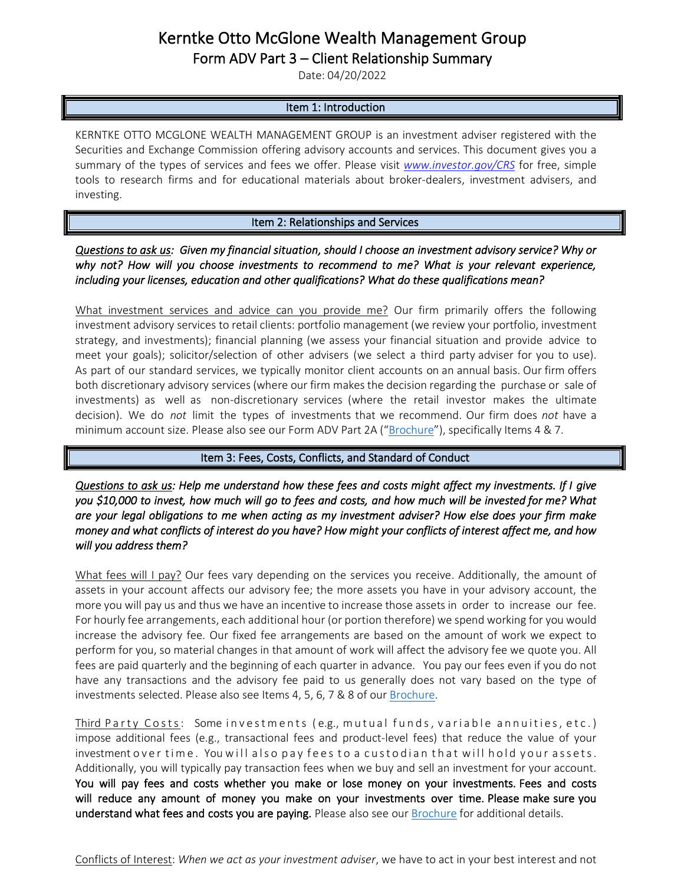# Kerntke Otto McGlone Wealth Management Group

Form ADV Part 3 – Client Relationship Summary

Date: 04/20/2022

### Item 1: Introduction

KERNTKE OTTO MCGLONE WEALTH MANAGEMENT GROUP is an investment adviser registered with the Securities and Exchange Commission offering advisory accounts and services. This document gives you a summary of the types of services and fees we offer. Please visit *[www.investor.gov/CRS](http://www.investor.gov/CRS)* for free, simple tools to research firms and for educational materials about broker-dealers, investment advisers, and investing.

## Item 2: Relationships and Services

## *Questions to ask us: Given my financial situation, should I choose an investment advisory service? Why or why not? How will you choose investments to recommend to me? What is your relevant experience, including your licenses, education and other qualifications? What do these qualifications mean?*

What investment services and advice can you provide me? Our firm primarily offers the following investment advisory services to retail clients: portfolio management (we review your portfolio, investment strategy, and investments); financial planning (we assess your financial situation and provide advice to meet your goals); solicitor/selection of other advisers (we select a third party adviser for you to use). As part of our standard services, we typically monitor client accounts on an annual basis. Our firm offers both discretionary advisory services (where our firm makes the decision regarding the purchase or sale of investments) as well as non-discretionary services (where the retail investor makes the ultimate decision). We do *not* limit the types of investments that we recommend. Our firm does *not* have a minimum account size. Please also see our Form ADV Part 2A ("[Brochure](https://adviserinfo.sec.gov/firm/summary/142682)"), specifically Items 4 & 7.

#### Item 3: Fees, Costs, Conflicts, and Standard of Conduct

*Questions to ask us: Help me understand how these fees and costs might affect my investments. If I give you \$10,000 to invest, how much will go to fees and costs, and how much will be invested for me? What are your legal obligations to me when acting as my investment adviser? How else does your firm make money and what conflicts of interest do you have? How might your conflicts of interest affect me, and how will you address them?*

What fees will I pay? Our fees vary depending on the services you receive. Additionally, the amount of assets in your account affects our advisory fee; the more assets you have in your advisory account, the more you will pay us and thus we have an incentive to increase those assets in order to increase our fee. For hourly fee arrangements, each additional hour (or portion therefore) we spend working for you would increase the advisory fee. Our fixed fee arrangements are based on the amount of work we expect to perform for you, so material changes in that amount of work will affect the advisory fee we quote you. All fees are paid quarterly and the beginning of each quarter in advance. You pay our fees even if you do not have any transactions and the advisory fee paid to us generally does not vary based on the type of investments selected. Please also see Items 4, 5, 6, 7 & 8 of our [Brochure.](https://adviserinfo.sec.gov/firm/summary/142682)

<u>Third Party Costs</u>: Some investments (e.g., mutual funds, variable annuities, etc.) impose additional fees (e.g., transactional fees and product-level fees) that reduce the value of your investment over time. You will also pay fees to a custodian that will hold your assets. Additionally, you will typically pay transaction fees when we buy and sell an investment for your account. You will pay fees and costs whether you make or lose money on your investments. Fees and costs will reduce any amount of money you make on your investments over time. Please make sure you understand what fees and costs you are paying. Please also see our [Brochure](https://adviserinfo.sec.gov/firm/summary/142682) for additional details.